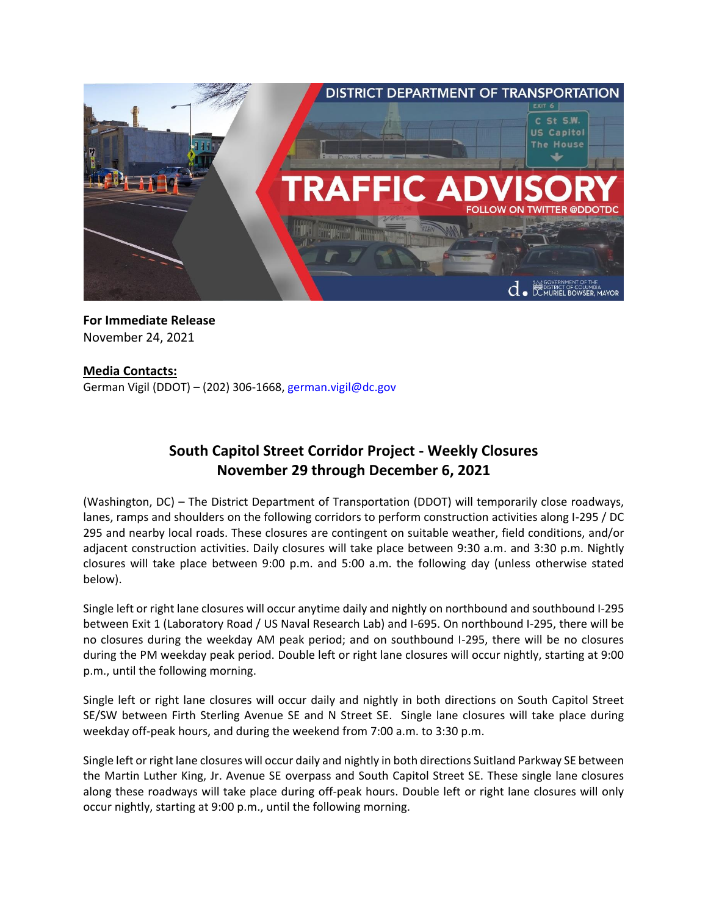

**For Immediate Release** November 24, 2021

## **Media Contacts:**

German Vigil (DDOT) – (202) 306-1668, [german.vigil@dc.gov](mailto:german.vigil@dc.gov)

# **South Capitol Street Corridor Project - Weekly Closures November 29 through December 6, 2021**

(Washington, DC) – The District Department of Transportation (DDOT) will temporarily close roadways, lanes, ramps and shoulders on the following corridors to perform construction activities along I-295 / DC 295 and nearby local roads. These closures are contingent on suitable weather, field conditions, and/or adjacent construction activities. Daily closures will take place between 9:30 a.m. and 3:30 p.m. Nightly closures will take place between 9:00 p.m. and 5:00 a.m. the following day (unless otherwise stated below).

Single left or right lane closures will occur anytime daily and nightly on northbound and southbound I-295 between Exit 1 (Laboratory Road / US Naval Research Lab) and I-695. On northbound I-295, there will be no closures during the weekday AM peak period; and on southbound I-295, there will be no closures during the PM weekday peak period. Double left or right lane closures will occur nightly, starting at 9:00 p.m., until the following morning.

Single left or right lane closures will occur daily and nightly in both directions on South Capitol Street SE/SW between Firth Sterling Avenue SE and N Street SE. Single lane closures will take place during weekday off-peak hours, and during the weekend from 7:00 a.m. to 3:30 p.m.

Single left or right lane closures will occur daily and nightly in both directions Suitland Parkway SE between the Martin Luther King, Jr. Avenue SE overpass and South Capitol Street SE. These single lane closures along these roadways will take place during off-peak hours. Double left or right lane closures will only occur nightly, starting at 9:00 p.m., until the following morning.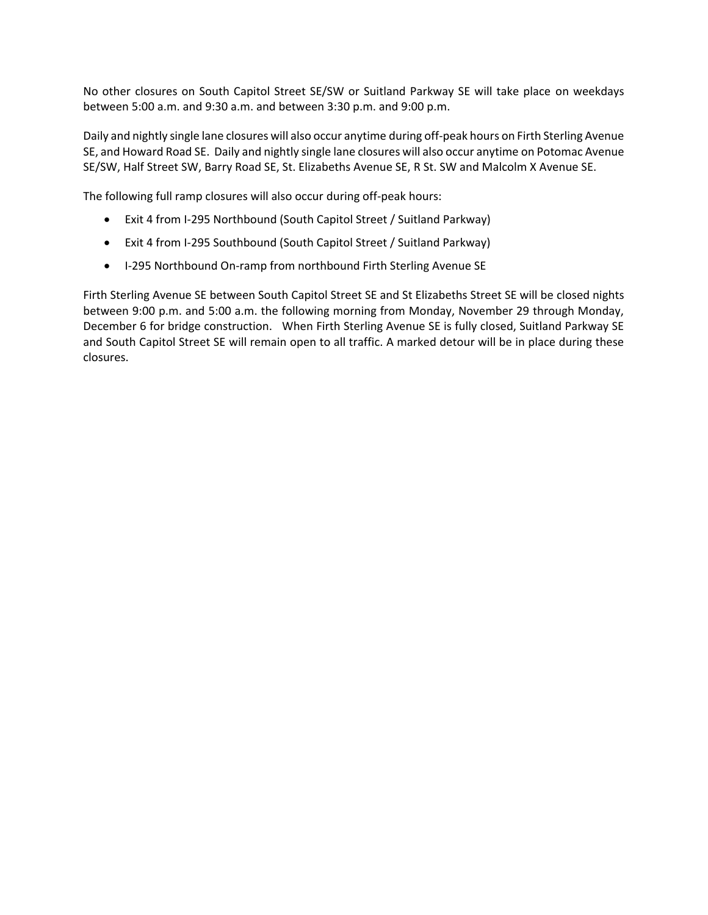No other closures on South Capitol Street SE/SW or Suitland Parkway SE will take place on weekdays between 5:00 a.m. and 9:30 a.m. and between 3:30 p.m. and 9:00 p.m.

Daily and nightly single lane closures will also occur anytime during off-peak hours on Firth Sterling Avenue SE, and Howard Road SE. Daily and nightly single lane closures will also occur anytime on Potomac Avenue SE/SW, Half Street SW, Barry Road SE, St. Elizabeths Avenue SE, R St. SW and Malcolm X Avenue SE.

The following full ramp closures will also occur during off-peak hours:

- Exit 4 from I-295 Northbound (South Capitol Street / Suitland Parkway)
- Exit 4 from I-295 Southbound (South Capitol Street / Suitland Parkway)
- I-295 Northbound On-ramp from northbound Firth Sterling Avenue SE

Firth Sterling Avenue SE between South Capitol Street SE and St Elizabeths Street SE will be closed nights between 9:00 p.m. and 5:00 a.m. the following morning from Monday, November 29 through Monday, December 6 for bridge construction. When Firth Sterling Avenue SE is fully closed, Suitland Parkway SE and South Capitol Street SE will remain open to all traffic. A marked detour will be in place during these closures.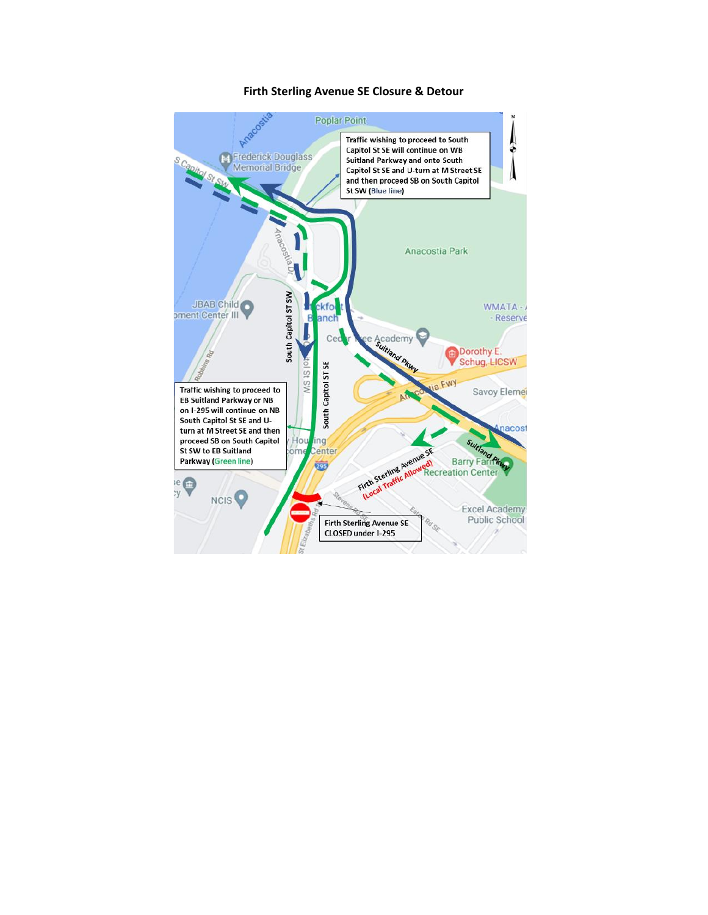#### Firth Sterling Avenue SE Closure & Detour

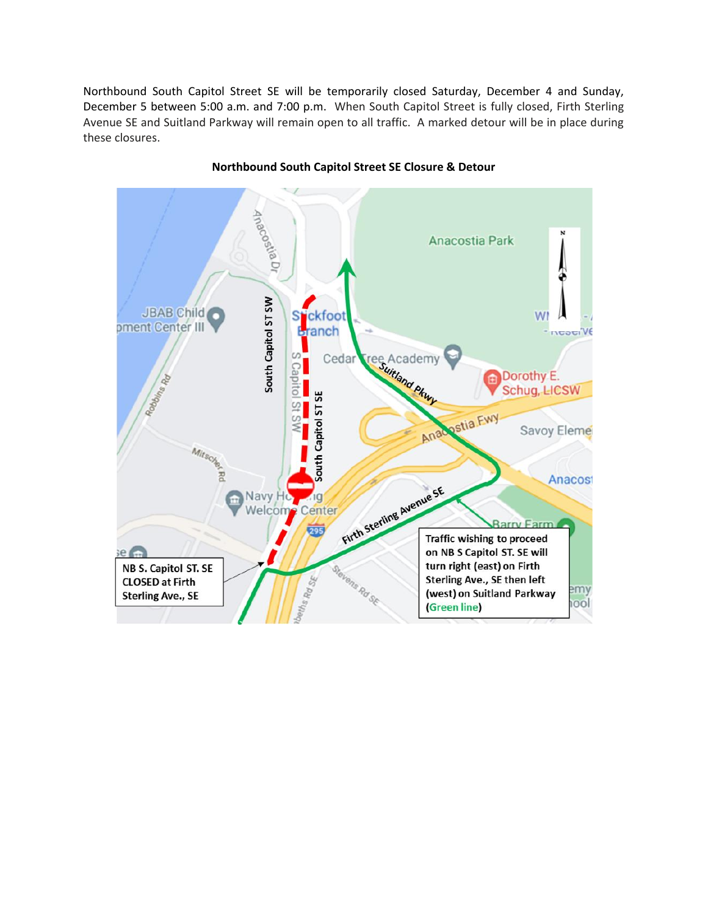Northbound South Capitol Street SE will be temporarily closed Saturday, December 4 and Sunday, December 5 between 5:00 a.m. and 7:00 p.m. When South Capitol Street is fully closed, Firth Sterling Avenue SE and Suitland Parkway will remain open to all traffic. A marked detour will be in place during these closures.



### **Northbound South Capitol Street SE Closure & Detour**